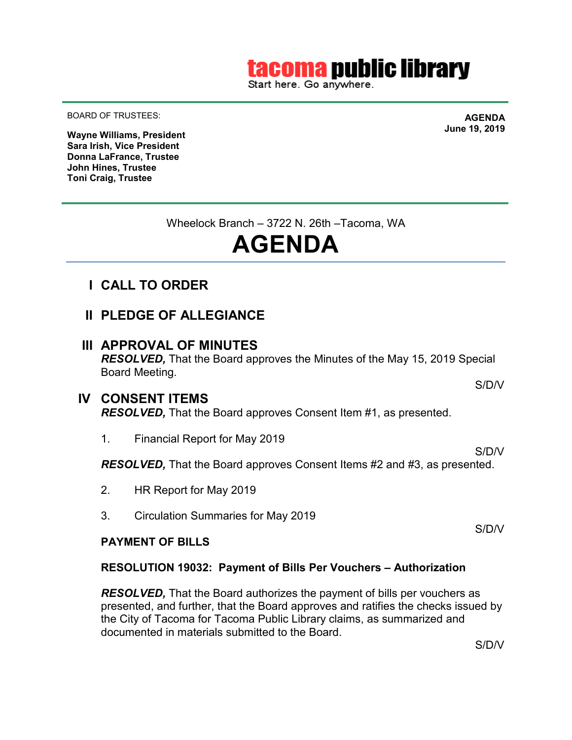# tacoma public library

Start here. Go anywhere.

BOARD OF TRUSTEES:

**AGENDA June 19, 2019**

**Wayne Williams, President Sara Irish, Vice President Donna LaFrance, Trustee John Hines, Trustee Toni Craig, Trustee**

Wheelock Branch – 3722 N. 26th –Tacoma, WA

# **AGENDA**

- **I CALL TO ORDER**
- **II PLEDGE OF ALLEGIANCE**

## **III APPROVAL OF MINUTES**

*RESOLVED,* That the Board approves the Minutes of the May 15, 2019 Special Board Meeting.

## **IV CONSENT ITEMS**

*RESOLVED,* That the Board approves Consent Item #1, as presented.

1. Financial Report for May 2019

*RESOLVED,* That the Board approves Consent Items #2 and #3, as presented.

- 2. HR Report for May 2019
- 3. Circulation Summaries for May 2019

#### **PAYMENT OF BILLS**

#### **RESOLUTION 19032: Payment of Bills Per Vouchers – Authorization**

*RESOLVED*, That the Board authorizes the payment of bills per vouchers as presented, and further, that the Board approves and ratifies the checks issued by the City of Tacoma for Tacoma Public Library claims, as summarized and documented in materials submitted to the Board.

S/D/V

S/D/V

S/D/V

S/D/V